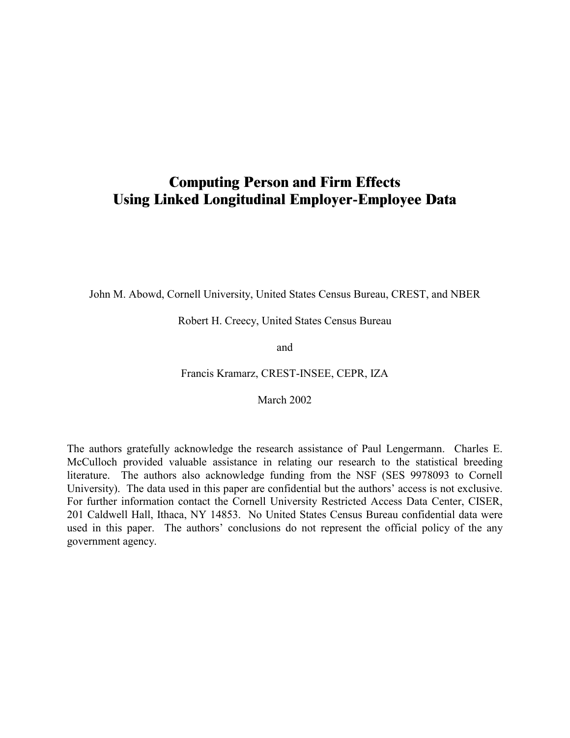# **Computing Person and Firm Effects Using Linked Longitudinal Employer-Employee Data**

John M. Abowd, Cornell University, United States Census Bureau, CREST, and NBER

Robert H. Creecy, United States Census Bureau

and

Francis Kramarz, CREST-INSEE, CEPR, IZA

March 2002

The authors gratefully acknowledge the research assistance of Paul Lengermann. Charles E. McCulloch provided valuable assistance in relating our research to the statistical breeding literature. The authors also acknowledge funding from the NSF (SES 9978093 to Cornell University). The data used in this paper are confidential but the authors' access is not exclusive. For further information contact the Cornell University Restricted Access Data Center, CISER, 201 Caldwell Hall, Ithaca, NY 14853. No United States Census Bureau confidential data were used in this paper. The authors' conclusions do not represent the official policy of the any government agency.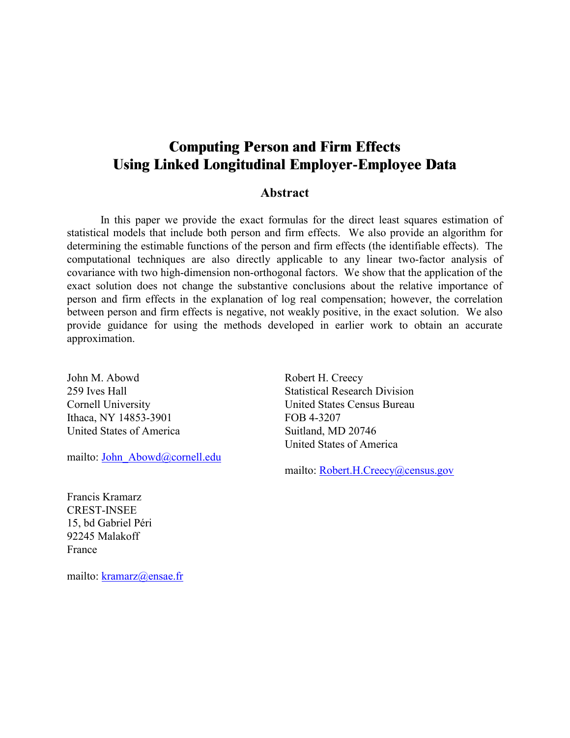# **Computing Person and Firm Effects Using Linked Longitudinal Employer-Employee Data**

### **Abstract**

 In this paper we provide the exact formulas for the direct least squares estimation of statistical models that include both person and firm effects. We also provide an algorithm for determining the estimable functions of the person and firm effects (the identifiable effects). The computational techniques are also directly applicable to any linear two-factor analysis of covariance with two high-dimension non-orthogonal factors. We show that the application of the exact solution does not change the substantive conclusions about the relative importance of person and firm effects in the explanation of log real compensation; however, the correlation between person and firm effects is negative, not weakly positive, in the exact solution. We also provide guidance for using the methods developed in earlier work to obtain an accurate approximation.

John M. Abowd Robert H. Creecy Ithaca, NY 14853-3901 FOB 4-3207 United States of America Suitland, MD 20746

mailto: John\_Abowd@cornell.edu

259 Ives Hall Statistical Research Division Cornell University United States Census Bureau United States of America

mailto: Robert.H.Creecy@census.gov

Francis Kramarz CREST-INSEE 15, bd Gabriel Péri 92245 Malakoff France

mailto: kramarz@ensae.fr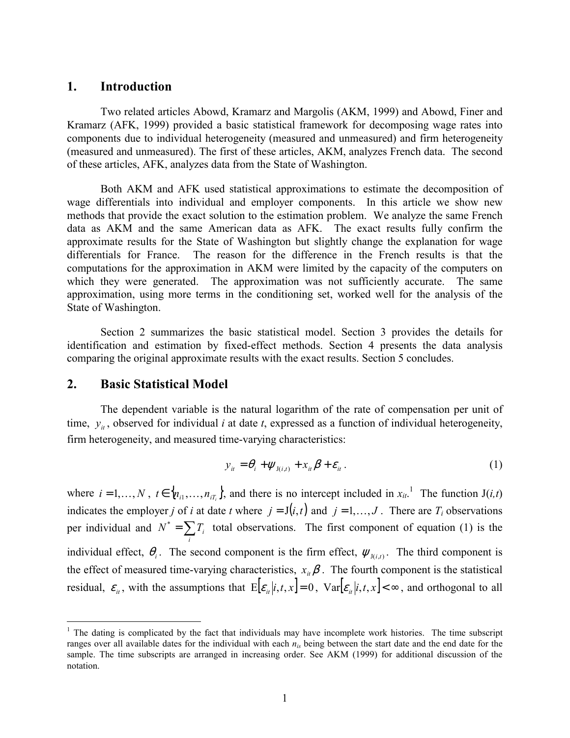# **1. Introduction**

Two related articles Abowd, Kramarz and Margolis (AKM, 1999) and Abowd, Finer and Kramarz (AFK, 1999) provided a basic statistical framework for decomposing wage rates into components due to individual heterogeneity (measured and unmeasured) and firm heterogeneity (measured and unmeasured). The first of these articles, AKM, analyzes French data. The second of these articles, AFK, analyzes data from the State of Washington.

Both AKM and AFK used statistical approximations to estimate the decomposition of wage differentials into individual and employer components. In this article we show new methods that provide the exact solution to the estimation problem. We analyze the same French data as AKM and the same American data as AFK. The exact results fully confirm the approximate results for the State of Washington but slightly change the explanation for wage differentials for France. The reason for the difference in the French results is that the computations for the approximation in AKM were limited by the capacity of the computers on which they were generated. The approximation was not sufficiently accurate. The same approximation, using more terms in the conditioning set, worked well for the analysis of the State of Washington.

Section 2 summarizes the basic statistical model. Section 3 provides the details for identification and estimation by fixed-effect methods. Section 4 presents the data analysis comparing the original approximate results with the exact results. Section 5 concludes.

# **2. Basic Statistical Model**

<u>.</u>

The dependent variable is the natural logarithm of the rate of compensation per unit of time,  $y_i$ , observed for individual *i* at date *t*, expressed as a function of individual heterogeneity, firm heterogeneity, and measured time-varying characteristics:

$$
y_{it} = \theta_i + \psi_{J(i,t)} + x_{it} \beta + \varepsilon_{it} \,. \tag{1}
$$

where  $i = 1,..., N$ ,  $t \in \{n_{i1},...,n_{iT_i}\}$ , and there is no intercept included in  $x_{it}$ .<sup>1</sup> The function  $J(i,t)$ indicates the employer *j* of *i* at date *t* where  $j = J(i, t)$  and  $j = 1, ..., J$ . There are  $T_i$  observations per individual and  $N^* = \sum_i$  $N^* = \sum T_i$  total observations. The first component of equation (1) is the individual effect,  $\theta_i$ . The second component is the firm effect,  $\psi_{J(i,t)}$ . The third component is the effect of measured time-varying characteristics,  $x_{it} \beta$ . The fourth component is the statistical residual,  $\varepsilon_{ii}$ , with the assumptions that  $E[\varepsilon_{ii}|i,t,x] = 0$ ,  $Var[\varepsilon_{ii}|i,t,x] < \infty$ , and orthogonal to all

 $<sup>1</sup>$  The dating is complicated by the fact that individuals may have incomplete work histories. The time subscript</sup> ranges over all available dates for the individual with each  $n_{i<sub>s</sub>}$  being between the start date and the end date for the sample. The time subscripts are arranged in increasing order. See AKM (1999) for additional discussion of the notation.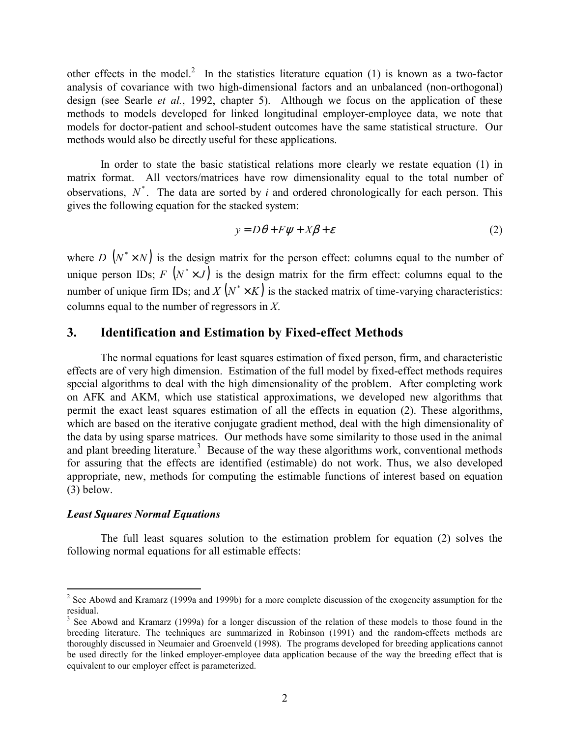other effects in the model.<sup>2</sup> In the statistics literature equation (1) is known as a two-factor analysis of covariance with two high-dimensional factors and an unbalanced (non-orthogonal) design (see Searle *et al.*, 1992, chapter 5). Although we focus on the application of these methods to models developed for linked longitudinal employer-employee data, we note that models for doctor-patient and school-student outcomes have the same statistical structure. Our methods would also be directly useful for these applications.

In order to state the basic statistical relations more clearly we restate equation (1) in matrix format. All vectors/matrices have row dimensionality equal to the total number of observations,  $N^*$ . The data are sorted by *i* and ordered chronologically for each person. This gives the following equation for the stacked system:

$$
y = D\theta + F\psi + X\beta + \varepsilon \tag{2}
$$

where *D*  $(N^* \times N)$  is the design matrix for the person effect: columns equal to the number of unique person IDs;  $F\left(N^* \times J\right)$  is the design matrix for the firm effect: columns equal to the number of unique firm IDs; and  $X(N^* \times K)$  is the stacked matrix of time-varying characteristics: columns equal to the number of regressors in *X*.

# **3. Identification and Estimation by Fixed-effect Methods**

The normal equations for least squares estimation of fixed person, firm, and characteristic effects are of very high dimension. Estimation of the full model by fixed-effect methods requires special algorithms to deal with the high dimensionality of the problem. After completing work on AFK and AKM, which use statistical approximations, we developed new algorithms that permit the exact least squares estimation of all the effects in equation (2). These algorithms, which are based on the iterative conjugate gradient method, deal with the high dimensionality of the data by using sparse matrices. Our methods have some similarity to those used in the animal and plant breeding literature.<sup>3</sup> Because of the way these algorithms work, conventional methods for assuring that the effects are identified (estimable) do not work. Thus, we also developed appropriate, new, methods for computing the estimable functions of interest based on equation (3) below.

### *Least Squares Normal Equations*

<u>.</u>

The full least squares solution to the estimation problem for equation (2) solves the following normal equations for all estimable effects:

<sup>&</sup>lt;sup>2</sup> See Abowd and Kramarz (1999a and 1999b) for a more complete discussion of the exogeneity assumption for the residual.

<sup>&</sup>lt;sup>3</sup> See Abowd and Kramarz (1999a) for a longer discussion of the relation of these models to those found in the breeding literature. The techniques are summarized in Robinson (1991) and the random-effects methods are thoroughly discussed in Neumaier and Groenveld (1998). The programs developed for breeding applications cannot be used directly for the linked employer-employee data application because of the way the breeding effect that is equivalent to our employer effect is parameterized.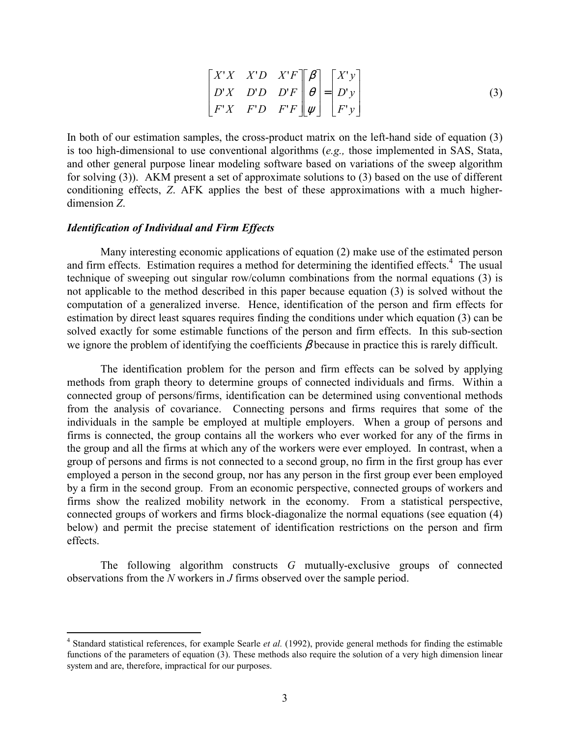$$
\begin{bmatrix} X'X & X'D & X'F \\ D'X & D'D & D'F \\ F'X & F'D & F'F \end{bmatrix} \begin{bmatrix} \beta \\ \theta \\ \psi \end{bmatrix} = \begin{bmatrix} X'y \\ D'y \\ F'y \end{bmatrix}
$$
 (3)

In both of our estimation samples, the cross-product matrix on the left-hand side of equation (3) is too high-dimensional to use conventional algorithms (*e.g.,* those implemented in SAS, Stata, and other general purpose linear modeling software based on variations of the sweep algorithm for solving (3)). AKM present a set of approximate solutions to (3) based on the use of different conditioning effects, *Z*. AFK applies the best of these approximations with a much higherdimension *Z*.

#### *Identification of Individual and Firm Effects*

1

Many interesting economic applications of equation (2) make use of the estimated person and firm effects. Estimation requires a method for determining the identified effects.<sup>4</sup> The usual technique of sweeping out singular row/column combinations from the normal equations (3) is not applicable to the method described in this paper because equation (3) is solved without the computation of a generalized inverse. Hence, identification of the person and firm effects for estimation by direct least squares requires finding the conditions under which equation (3) can be solved exactly for some estimable functions of the person and firm effects. In this sub-section we ignore the problem of identifying the coefficients  $\beta$  because in practice this is rarely difficult.

The identification problem for the person and firm effects can be solved by applying methods from graph theory to determine groups of connected individuals and firms. Within a connected group of persons/firms, identification can be determined using conventional methods from the analysis of covariance. Connecting persons and firms requires that some of the individuals in the sample be employed at multiple employers. When a group of persons and firms is connected, the group contains all the workers who ever worked for any of the firms in the group and all the firms at which any of the workers were ever employed. In contrast, when a group of persons and firms is not connected to a second group, no firm in the first group has ever employed a person in the second group, nor has any person in the first group ever been employed by a firm in the second group. From an economic perspective, connected groups of workers and firms show the realized mobility network in the economy. From a statistical perspective, connected groups of workers and firms block-diagonalize the normal equations (see equation (4) below) and permit the precise statement of identification restrictions on the person and firm effects.

The following algorithm constructs *G* mutually-exclusive groups of connected observations from the *N* workers in *J* firms observed over the sample period.

<sup>4</sup> Standard statistical references, for example Searle *et al.* (1992), provide general methods for finding the estimable functions of the parameters of equation (3). These methods also require the solution of a very high dimension linear system and are, therefore, impractical for our purposes.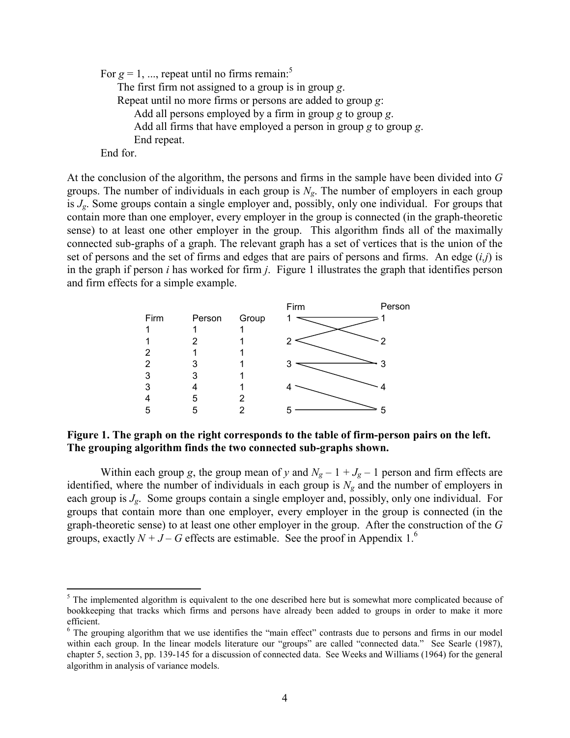For  $g = 1, \dots$ , repeat until no firms remain:<sup>5</sup> The first firm not assigned to a group is in group *g*. Repeat until no more firms or persons are added to group *g*: Add all persons employed by a firm in group *g* to group *g*. Add all firms that have employed a person in group *g* to group *g*. End repeat. End for.

At the conclusion of the algorithm, the persons and firms in the sample have been divided into *G* groups. The number of individuals in each group is  $N_g$ . The number of employers in each group is *Jg*. Some groups contain a single employer and, possibly, only one individual. For groups that contain more than one employer, every employer in the group is connected (in the graph-theoretic sense) to at least one other employer in the group. This algorithm finds all of the maximally connected sub-graphs of a graph. The relevant graph has a set of vertices that is the union of the set of persons and the set of firms and edges that are pairs of persons and firms. An edge (*i,j*) is in the graph if person *i* has worked for firm *j*. Figure 1 illustrates the graph that identifies person and firm effects for a simple example.



### **Figure 1. The graph on the right corresponds to the table of firm-person pairs on the left. The grouping algorithm finds the two connected sub-graphs shown.**

Within each group *g*, the group mean of *y* and  $N_g - 1 + J_g - 1$  person and firm effects are identified, where the number of individuals in each group is  $N_g$  and the number of employers in each group is *Jg*. Some groups contain a single employer and, possibly, only one individual. For groups that contain more than one employer, every employer in the group is connected (in the graph-theoretic sense) to at least one other employer in the group. After the construction of the *G* groups, exactly  $N + J - G$  effects are estimable. See the proof in Appendix 1.<sup>6</sup>

<u>.</u>

 $<sup>5</sup>$  The implemented algorithm is equivalent to the one described here but is somewhat more complicated because of</sup> bookkeeping that tracks which firms and persons have already been added to groups in order to make it more efficient.

 $6$  The grouping algorithm that we use identifies the "main effect" contrasts due to persons and firms in our model within each group. In the linear models literature our "groups" are called "connected data." See Searle (1987), chapter 5, section 3, pp. 139-145 for a discussion of connected data. See Weeks and Williams (1964) for the general algorithm in analysis of variance models.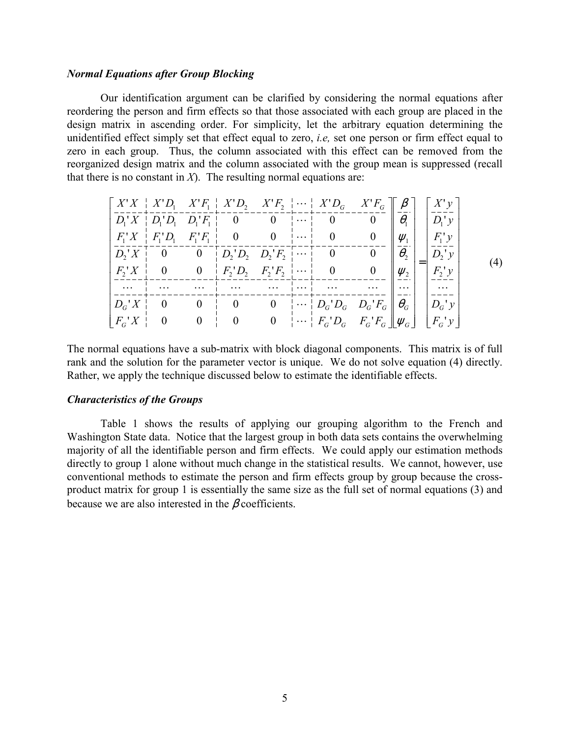#### *Normal Equations after Group Blocking*

Our identification argument can be clarified by considering the normal equations after reordering the person and firm effects so that those associated with each group are placed in the design matrix in ascending order. For simplicity, let the arbitrary equation determining the unidentified effect simply set that effect equal to zero, *i.e,* set one person or firm effect equal to zero in each group. Thus, the column associated with this effect can be removed from the reorganized design matrix and the column associated with the group mean is suppressed (recall that there is no constant in  $X$ ). The resulting normal equations are:

$$
\begin{bmatrix}\nX'X & X'D_1 & X'F_1 & X'D_2 & X'F_2 & \cdots & X'D_G & X'F_G \\
\hline\nD_1'X & D_1'D_1 & D_1'F_1 & 0 & 0 & \cdots & 0 & 0 \\
F_1'X & F_1'D_1 & F_1'F_1 & 0 & 0 & \cdots & 0 & 0 \\
\hline\nD_2'X & 0 & 0 & D_2'D_2 & D_2'F_2 & \cdots & 0 & 0 & \psi_1 \\
\hline\n\vdots & \vdots & \vdots & \vdots & \vdots & \vdots & \vdots & \vdots \\
\hline\nD_2'X & 0 & 0 & F_2'D_2 & F_2'F_2 & \cdots & 0 & 0 \\
\vdots & \vdots & \vdots & \vdots & \vdots & \vdots & \vdots \\
\hline\nD_3'X & 0 & 0 & 0 & 0 & \cdots & D_6'D_0 & D_6'F_6 \\
\hline\nF_5'X & 0 & 0 & 0 & 0 & \cdots & F_6'D_0 & F_6'F_6\n\end{bmatrix}\n\begin{bmatrix}\nX'y \\
\hline\n\end{bmatrix} = \begin{bmatrix}\nX'y \\
\hline\n\end{bmatrix}
$$
\n(4)

The normal equations have a sub-matrix with block diagonal components. This matrix is of full rank and the solution for the parameter vector is unique. We do not solve equation (4) directly. Rather, we apply the technique discussed below to estimate the identifiable effects.

#### *Characteristics of the Groups*

Table 1 shows the results of applying our grouping algorithm to the French and Washington State data. Notice that the largest group in both data sets contains the overwhelming majority of all the identifiable person and firm effects. We could apply our estimation methods directly to group 1 alone without much change in the statistical results. We cannot, however, use conventional methods to estimate the person and firm effects group by group because the crossproduct matrix for group 1 is essentially the same size as the full set of normal equations (3) and because we are also interested in the  $\beta$  coefficients.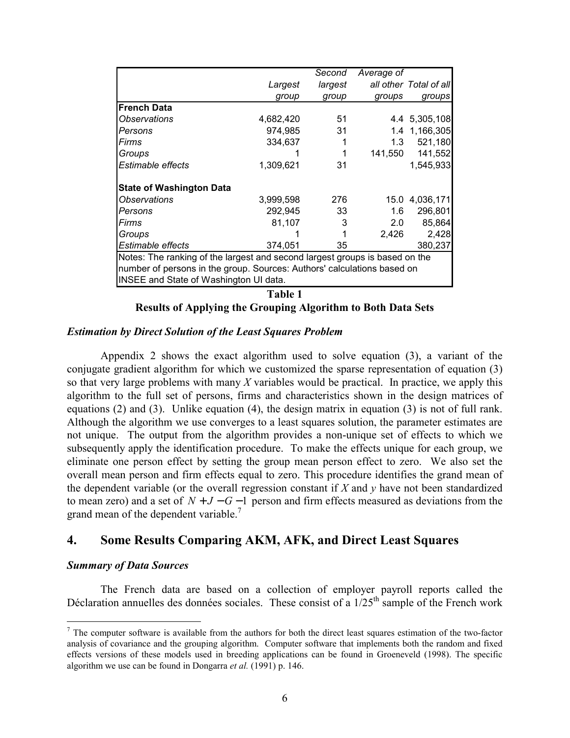|                                                                             |           | Second  | Average of |                                  |  |  |  |  |  |  |
|-----------------------------------------------------------------------------|-----------|---------|------------|----------------------------------|--|--|--|--|--|--|
|                                                                             | Largest   | largest |            | all other Total of all<br>groups |  |  |  |  |  |  |
|                                                                             | group     | group   | groups     |                                  |  |  |  |  |  |  |
| lFrench Data                                                                |           |         |            |                                  |  |  |  |  |  |  |
| Observations                                                                | 4,682,420 | 51      |            | 4.4 5,305,108                    |  |  |  |  |  |  |
| Persons                                                                     | 974,985   | 31      | 1.4        | 1,166,305                        |  |  |  |  |  |  |
| Firms                                                                       | 334,637   |         | 1.3        | 521,180                          |  |  |  |  |  |  |
| Groups                                                                      |           |         | 141,550    | 141,552                          |  |  |  |  |  |  |
| Estimable effects                                                           | 1,309,621 | 31      |            | 1,545,933                        |  |  |  |  |  |  |
| <b>State of Washington Data</b>                                             |           |         |            |                                  |  |  |  |  |  |  |
| Observations                                                                | 3,999,598 | 276     | 15.0       | 4,036,171                        |  |  |  |  |  |  |
| Persons                                                                     | 292,945   | 33      | 1.6        | 296,801                          |  |  |  |  |  |  |
| Firms                                                                       | 81,107    | 3       | 2.0        | 85,864                           |  |  |  |  |  |  |
| Groups                                                                      |           |         | 2,426      | 2,428                            |  |  |  |  |  |  |
| Estimable effects                                                           | 374,051   | 35      |            | 380,237                          |  |  |  |  |  |  |
| Notes: The ranking of the largest and second largest groups is based on the |           |         |            |                                  |  |  |  |  |  |  |
| number of persons in the group. Sources: Authors' calculations based on     |           |         |            |                                  |  |  |  |  |  |  |
| <b>INSEE and State of Washington UI data.</b>                               |           |         |            |                                  |  |  |  |  |  |  |
|                                                                             |           |         |            |                                  |  |  |  |  |  |  |

#### **Table 1**

**Results of Applying the Grouping Algorithm to Both Data Sets** 

#### *Estimation by Direct Solution of the Least Squares Problem*

Appendix 2 shows the exact algorithm used to solve equation (3), a variant of the conjugate gradient algorithm for which we customized the sparse representation of equation (3) so that very large problems with many *X* variables would be practical. In practice, we apply this algorithm to the full set of persons, firms and characteristics shown in the design matrices of equations (2) and (3). Unlike equation (4), the design matrix in equation (3) is not of full rank. Although the algorithm we use converges to a least squares solution, the parameter estimates are not unique. The output from the algorithm provides a non-unique set of effects to which we subsequently apply the identification procedure. To make the effects unique for each group, we eliminate one person effect by setting the group mean person effect to zero. We also set the overall mean person and firm effects equal to zero. This procedure identifies the grand mean of the dependent variable (or the overall regression constant if *X* and *y* have not been standardized to mean zero) and a set of *N* + *J* − *G* −1 person and firm effects measured as deviations from the grand mean of the dependent variable.<sup>7</sup>

# **4. Some Results Comparing AKM, AFK, and Direct Least Squares**

#### *Summary of Data Sources*

<u>.</u>

The French data are based on a collection of employer payroll reports called the Déclaration annuelles des données sociales. These consist of a  $1/25<sup>th</sup>$  sample of the French work

 $<sup>7</sup>$  The computer software is available from the authors for both the direct least squares estimation of the two-factor</sup> analysis of covariance and the grouping algorithm. Computer software that implements both the random and fixed effects versions of these models used in breeding applications can be found in Groeneveld (1998). The specific algorithm we use can be found in Dongarra *et al.* (1991) p. 146.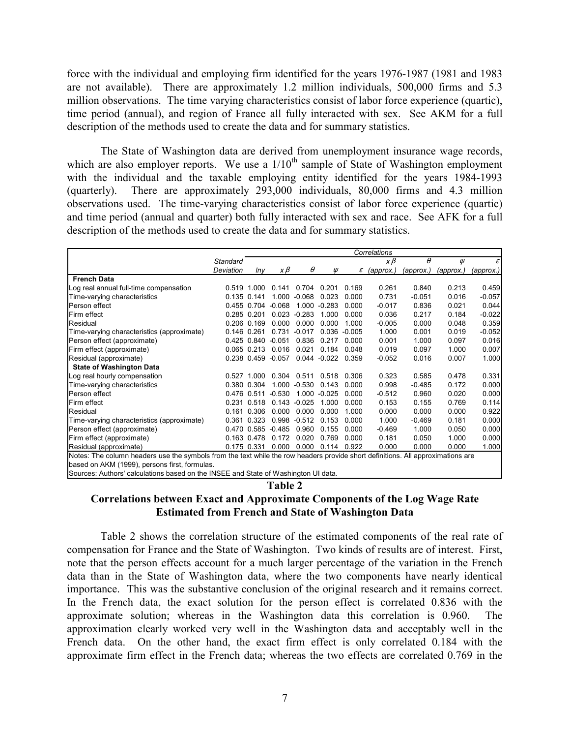force with the individual and employing firm identified for the years 1976-1987 (1981 and 1983 are not available). There are approximately 1.2 million individuals, 500,000 firms and 5.3 million observations. The time varying characteristics consist of labor force experience (quartic), time period (annual), and region of France all fully interacted with sex. See AKM for a full description of the methods used to create the data and for summary statistics.

The State of Washington data are derived from unemployment insurance wage records, which are also employer reports. We use a  $1/10^{th}$  sample of State of Washington employment with the individual and the taxable employing entity identified for the years 1984-1993 (quarterly). There are approximately 293,000 individuals, 80,000 firms and 4.3 million observations used. The time-varying characteristics consist of labor force experience (quartic) and time period (annual and quarter) both fully interacted with sex and race. See AFK for a full description of the methods used to create the data and for summary statistics.

|                                                                                                                                 | Correlations |             |          |          |                 |          |           |           |           |           |
|---------------------------------------------------------------------------------------------------------------------------------|--------------|-------------|----------|----------|-----------------|----------|-----------|-----------|-----------|-----------|
|                                                                                                                                 | Standard     |             |          |          |                 |          | $x \beta$ | $\theta$  | $\psi$    | ε         |
|                                                                                                                                 | Deviation    | Inv         | $x\beta$ | $\theta$ | W               | ε        | (approx.) | (approx.) | (approx.) | (approx.) |
| <b>French Data</b>                                                                                                              |              |             |          |          |                 |          |           |           |           |           |
| Log real annual full-time compensation                                                                                          | 0.519 1.000  |             | 0.141    | 0.704    | 0.201           | 0.169    | 0.261     | 0.840     | 0.213     | 0.459     |
| Time-varying characteristics                                                                                                    | 0.135 0.141  |             | 1.000    | $-0.068$ | 0.023           | 0.000    | 0.731     | $-0.051$  | 0.016     | $-0.057$  |
| Person effect                                                                                                                   | 0.455 0.704  |             | $-0.068$ | 1.000    | $-0.283$        | 0.000    | $-0.017$  | 0.836     | 0.021     | 0.044     |
| Firm effect                                                                                                                     | 0.285 0.201  |             | 0.023    | $-0.283$ | 1.000           | 0.000    | 0.036     | 0.217     | 0.184     | $-0.022$  |
| Residual                                                                                                                        | 0.206        | 0.169       | 0.000    | 0.000    | 0.000           | 1.000    | $-0.005$  | 0.000     | 0.048     | 0.359     |
| Time-varying characteristics (approximate)                                                                                      | 0.146 0.261  |             | 0.731    | $-0.017$ | 0.036           | $-0.005$ | 1.000     | 0.001     | 0.019     | $-0.052$  |
| Person effect (approximate)                                                                                                     | 0.425        | 0.840       | $-0.051$ | 0.836    | 0.217           | 0.000    | 0.001     | 1.000     | 0.097     | 0.016     |
| Firm effect (approximate)                                                                                                       | 0.065        | 0.213       | 0.016    | 0.021    | 0.184           | 0048     | 0.019     | 0.097     | 1.000     | 0.007     |
| Residual (approximate)                                                                                                          |              | 0.238 0.459 | $-0.057$ |          | $0.044 - 0.022$ | 0.359    | $-0.052$  | 0.016     | 0.007     | 1.000     |
| <b>State of Washington Data</b>                                                                                                 |              |             |          |          |                 |          |           |           |           |           |
| Log real hourly compensation                                                                                                    | 0.527 1.000  |             | 0.304    | 0.511    | 0.518           | 0.306    | 0.323     | 0.585     | 0.478     | 0.331     |
| Time-varying characteristics                                                                                                    | 0.380 0.304  |             | 1.000    | $-0.530$ | 0.143           | 0.000    | 0.998     | $-0.485$  | 0.172     | 0.000     |
| Person effect                                                                                                                   | 0.476        | 0.511       | $-0.530$ | 1.000    | $-0.025$        | 0.000    | $-0.512$  | 0.960     | 0.020     | 0.000     |
| Firm effect                                                                                                                     | 0.231        | 0.518       | 0.143    | $-0.025$ | 1.000           | 0.000    | 0.153     | 0.155     | 0.769     | 0.114     |
| Residual                                                                                                                        | 0.161        | 0.306       | 0.000    | 0.000    | 0.000           | 1.000    | 0.000     | 0.000     | 0.000     | 0.922     |
| Time-varying characteristics (approximate)                                                                                      | 0.361        | 0.323       | 0.998    | $-0.512$ | 0.153           | 0.000    | 1.000     | $-0.469$  | 0.181     | 0.000     |
| Person effect (approximate)                                                                                                     | 0.470 0.585  |             | $-0.485$ | 0.960    | 0.155           | 0.000    | $-0.469$  | 1.000     | 0.050     | 0.000     |
| Firm effect (approximate)                                                                                                       | 0.163 0.478  |             | 0.172    | 0.020    | 0.769           | 0.000    | 0.181     | 0.050     | 1.000     | 0.000     |
| Residual (approximate)                                                                                                          | 0.175 0.331  |             | 0.000    | 0.000    | 0.114           | 0.922    | 0.000     | 0.000     | 0.000     | 1.000     |
| Notes: The column headers use the symbols from the text while the row headers provide short definitions. All approximations are |              |             |          |          |                 |          |           |           |           |           |
| based on AKM (1999), persons first, formulas.                                                                                   |              |             |          |          |                 |          |           |           |           |           |
| Sources: Authors' calculations based on the INSEE and State of Washington UI data.                                              |              |             |          |          |                 |          |           |           |           |           |

**Table 2** 

# **Correlations between Exact and Approximate Components of the Log Wage Rate Estimated from French and State of Washington Data**

Table 2 shows the correlation structure of the estimated components of the real rate of compensation for France and the State of Washington. Two kinds of results are of interest. First, note that the person effects account for a much larger percentage of the variation in the French data than in the State of Washington data, where the two components have nearly identical importance. This was the substantive conclusion of the original research and it remains correct. In the French data, the exact solution for the person effect is correlated 0.836 with the approximate solution; whereas in the Washington data this correlation is 0.960. The approximation clearly worked very well in the Washington data and acceptably well in the French data. On the other hand, the exact firm effect is only correlated 0.184 with the approximate firm effect in the French data; whereas the two effects are correlated 0.769 in the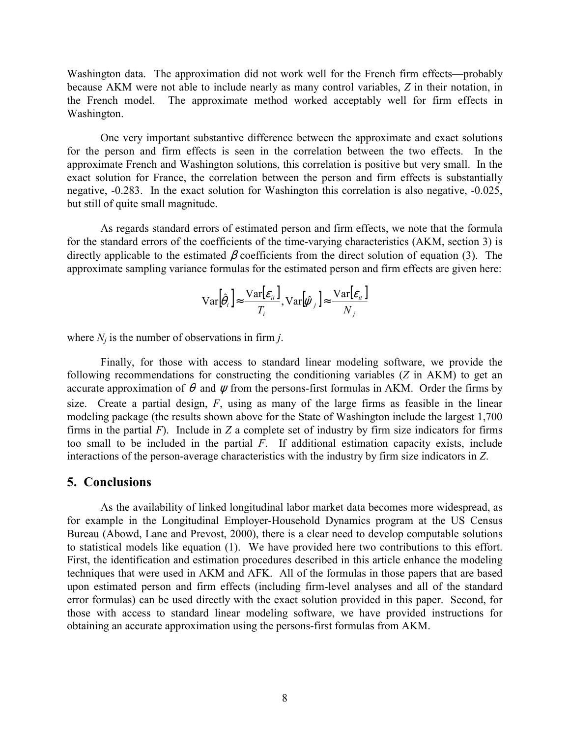Washington data. The approximation did not work well for the French firm effects—probably because AKM were not able to include nearly as many control variables, *Z* in their notation, in the French model. The approximate method worked acceptably well for firm effects in Washington.

One very important substantive difference between the approximate and exact solutions for the person and firm effects is seen in the correlation between the two effects. In the approximate French and Washington solutions, this correlation is positive but very small. In the exact solution for France, the correlation between the person and firm effects is substantially negative, -0.283. In the exact solution for Washington this correlation is also negative, -0.025, but still of quite small magnitude.

As regards standard errors of estimated person and firm effects, we note that the formula for the standard errors of the coefficients of the time-varying characteristics (AKM, section 3) is directly applicable to the estimated  $\beta$  coefficients from the direct solution of equation (3). The approximate sampling variance formulas for the estimated person and firm effects are given here:

$$
\text{Var}[\hat{\theta}_i] \approx \frac{\text{Var}[\varepsilon_{ii}]}{T_i}, \text{Var}[\hat{\psi}_j] \approx \frac{\text{Var}[\varepsilon_{ii}]}{N_j}
$$

where  $N_i$  is the number of observations in firm  $j$ .

Finally, for those with access to standard linear modeling software, we provide the following recommendations for constructing the conditioning variables (*Z* in AKM) to get an accurate approximation of  $\theta$  and  $\psi$  from the persons-first formulas in AKM. Order the firms by size. Create a partial design, *F*, using as many of the large firms as feasible in the linear modeling package (the results shown above for the State of Washington include the largest 1,700 firms in the partial *F*). Include in *Z* a complete set of industry by firm size indicators for firms too small to be included in the partial *F*. If additional estimation capacity exists, include interactions of the person-average characteristics with the industry by firm size indicators in *Z*.

### **5. Conclusions**

As the availability of linked longitudinal labor market data becomes more widespread, as for example in the Longitudinal Employer-Household Dynamics program at the US Census Bureau (Abowd, Lane and Prevost, 2000), there is a clear need to develop computable solutions to statistical models like equation (1). We have provided here two contributions to this effort. First, the identification and estimation procedures described in this article enhance the modeling techniques that were used in AKM and AFK. All of the formulas in those papers that are based upon estimated person and firm effects (including firm-level analyses and all of the standard error formulas) can be used directly with the exact solution provided in this paper. Second, for those with access to standard linear modeling software, we have provided instructions for obtaining an accurate approximation using the persons-first formulas from AKM.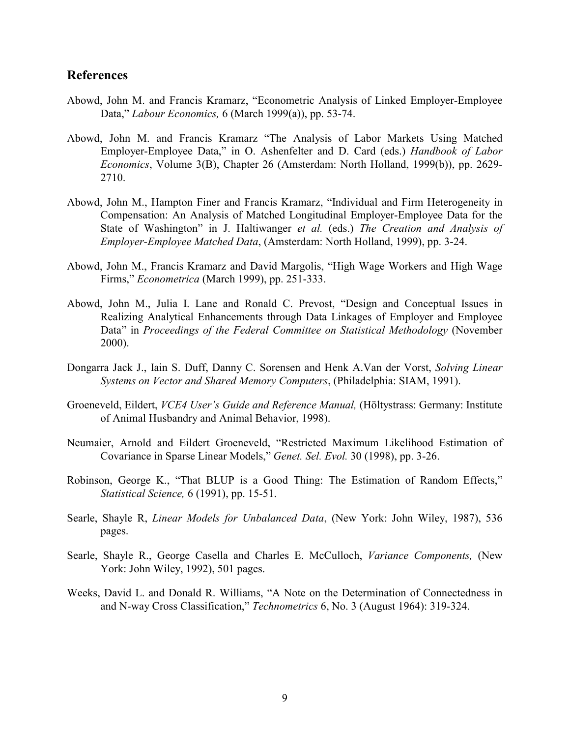# **References**

- Abowd, John M. and Francis Kramarz, "Econometric Analysis of Linked Employer-Employee Data,î *Labour Economics,* 6 (March 1999(a)), pp. 53-74.
- Abowd, John M. and Francis Kramarz "The Analysis of Labor Markets Using Matched Employer-Employee Data," in O. Ashenfelter and D. Card (eds.) *Handbook of Labor Economics*, Volume 3(B), Chapter 26 (Amsterdam: North Holland, 1999(b)), pp. 2629- 2710.
- Abowd, John M., Hampton Finer and Francis Kramarz, "Individual and Firm Heterogeneity in Compensation: An Analysis of Matched Longitudinal Employer-Employee Data for the State of Washington<sup>"</sup> in J. Haltiwanger *et al.* (eds.) *The Creation and Analysis of Employer-Employee Matched Data*, (Amsterdam: North Holland, 1999), pp. 3-24.
- Abowd, John M., Francis Kramarz and David Margolis, "High Wage Workers and High Wage Firms,î *Econometrica* (March 1999), pp. 251-333.
- Abowd, John M., Julia I. Lane and Ronald C. Prevost, "Design and Conceptual Issues in Realizing Analytical Enhancements through Data Linkages of Employer and Employee Data" in *Proceedings of the Federal Committee on Statistical Methodology* (November 2000).
- Dongarra Jack J., Iain S. Duff, Danny C. Sorensen and Henk A.Van der Vorst, *Solving Linear Systems on Vector and Shared Memory Computers*, (Philadelphia: SIAM, 1991).
- Groeneveld, Eildert, *VCE4 User's Guide and Reference Manual*, *(Höltystrass: Germany: Institute* of Animal Husbandry and Animal Behavior, 1998).
- Neumaier, Arnold and Eildert Groeneveld, "Restricted Maximum Likelihood Estimation of Covariance in Sparse Linear Models," *Genet. Sel. Evol.* 30 (1998), pp. 3-26.
- Robinson, George K., "That BLUP is a Good Thing: The Estimation of Random Effects," *Statistical Science,* 6 (1991), pp. 15-51.
- Searle, Shayle R, *Linear Models for Unbalanced Data*, (New York: John Wiley, 1987), 536 pages.
- Searle, Shayle R., George Casella and Charles E. McCulloch, *Variance Components,* (New York: John Wiley, 1992), 501 pages.
- Weeks, David L. and Donald R. Williams, "A Note on the Determination of Connectedness in and N-way Cross Classification," *Technometrics* 6, No. 3 (August 1964): 319-324.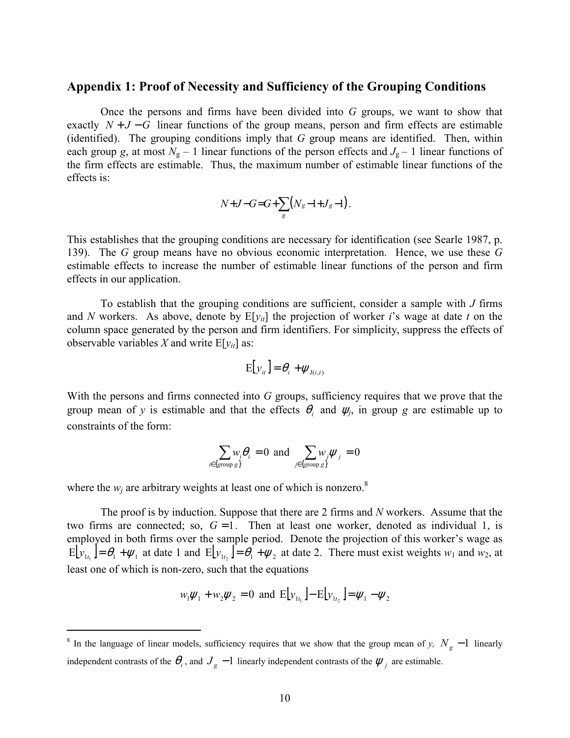# **Appendix 1: Proof of Necessity and Sufficiency of the Grouping Conditions**

Once the persons and firms have been divided into *G* groups, we want to show that exactly  $N+J-G$  linear functions of the group means, person and firm effects are estimable (identified). The grouping conditions imply that *G* group means are identified. Then, within each group *g*, at most  $N_g - 1$  linear functions of the person effects and  $J_g - 1$  linear functions of the firm effects are estimable. Thus, the maximum number of estimable linear functions of the effects is:

$$
N+J-G=G+\sum_{g}(N_{g}-1+J_{g}-1).
$$

This establishes that the grouping conditions are necessary for identification (see Searle 1987, p. 139). The *G* group means have no obvious economic interpretation. Hence, we use these *G*  estimable effects to increase the number of estimable linear functions of the person and firm effects in our application.

To establish that the grouping conditions are sufficient, consider a sample with *J* firms and *N* workers. As above, denote by  $E[y_{it}]$  the projection of worker *i*'s wage at date *t* on the column space generated by the person and firm identifiers. For simplicity, suppress the effects of observable variables *X* and write  $E[y_{it}]$  as:

$$
E[y_{it}] = \theta_i + \psi_{J(i,t)}
$$

With the persons and firms connected into *G* groups, sufficiency requires that we prove that the group mean of *y* is estimable and that the effects  $\theta_i$  and  $\psi_i$ , in group *g* are estimable up to constraints of the form:

$$
\sum_{i \in \{\text{group } g\}} w_i \theta_i = 0 \text{ and } \sum_{j \in \{\text{group } g\}} w_j \psi_j = 0
$$

where the  $w_i$  are arbitrary weights at least one of which is nonzero.<sup>8</sup>

1

The proof is by induction. Suppose that there are 2 firms and *N* workers. Assume that the two firms are connected; so,  $G = 1$ . Then at least one worker, denoted as individual 1, is employed in both firms over the sample period. Denote the projection of this worker's wage as  $E[y_{1t_1}] = \theta_1 + \psi_1$  at date 1 and  $E[y_{1t_2}] = \theta_1 + \psi_2$  at date 2. There must exist weights  $w_1$  and  $w_2$ , at least one of which is non-zero, such that the equations

$$
w_1\psi_1 + w_2\psi_2 = 0
$$
 and  $E[y_{1t_1}] - E[y_{1t_2}] = \psi_1 - \psi_2$ 

<sup>&</sup>lt;sup>8</sup> In the language of linear models, sufficiency requires that we show that the group mean of *y*,  $N_g - 1$  linearly independent contrasts of the  $\theta_i$ , and  $J_g - 1$  linearly independent contrasts of the  $\psi_j$  are estimable.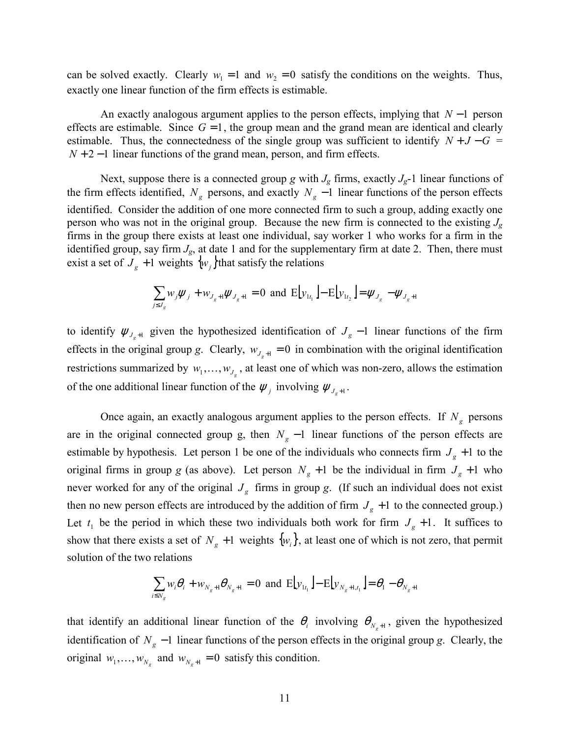can be solved exactly. Clearly  $w_1 = 1$  and  $w_2 = 0$  satisfy the conditions on the weights. Thus, exactly one linear function of the firm effects is estimable.

An exactly analogous argument applies to the person effects, implying that *N* − 1 person effects are estimable. Since  $G = 1$ , the group mean and the grand mean are identical and clearly estimable. Thus, the connectedness of the single group was sufficient to identify  $N + J - G =$ *N* + 2 − 1 linear functions of the grand mean, person, and firm effects.

Next, suppose there is a connected group *g* with  $J_g$  firms, exactly  $J_g$ -1 linear functions of the firm effects identified,  $N_g$  persons, and exactly  $N_g - 1$  linear functions of the person effects identified. Consider the addition of one more connected firm to such a group, adding exactly one person who was not in the original group. Because the new firm is connected to the existing  $J_g$ firms in the group there exists at least one individual, say worker 1 who works for a firm in the identified group, say firm  $J_g$ , at date 1 and for the supplementary firm at date 2. Then, there must exist a set of  $J<sub>g</sub> + 1$  weights  $\{w<sub>i</sub>\}$  that satisfy the relations

$$
\sum_{j \le J_g} w_j \psi_j + w_{J_g + 1} \psi_{J_g + 1} = 0 \text{ and } E[y_{1t_1}] - E[y_{1t_2}] = \psi_{J_g} - \psi_{J_g + 1}
$$

to identify  $\psi_{J_{g+1}}$  given the hypothesized identification of  $J_{g}-1$  linear functions of the firm effects in the original group *g*. Clearly,  $w_{J_{g+1}} = 0$  in combination with the original identification restrictions summarized by  $w_1, \ldots, w_{J_n}$ , at least one of which was non-zero, allows the estimation of the one additional linear function of the  $\psi_i$  involving  $\psi_{J_{n+1}}$ .

Once again, an exactly analogous argument applies to the person effects. If  $N_g$  persons are in the original connected group g, then  $N_g - 1$  linear functions of the person effects are estimable by hypothesis. Let person 1 be one of the individuals who connects firm  $J_g$  +1 to the original firms in group *g* (as above). Let person  $N_g + 1$  be the individual in firm  $J_g + 1$  who never worked for any of the original  $J<sub>g</sub>$  firms in group *g*. (If such an individual does not exist then no new person effects are introduced by the addition of firm  $J_g + 1$  to the connected group.) Let  $t_1$  be the period in which these two individuals both work for firm  $J_g + 1$ . It suffices to show that there exists a set of  $N_g + 1$  weights  $\{w_i\}$ , at least one of which is not zero, that permit solution of the two relations

$$
\sum_{i \le N_g} w_i \theta_i + w_{N_g + 1} \theta_{N_g + 1} = 0 \text{ and } E[y_{1t_1}] - E[y_{N_g + 1, t_1}] = \theta_1 - \theta_{N_g + 1}
$$

that identify an additional linear function of the  $\theta_i$  involving  $\theta_{N_s+1}$ , given the hypothesized identification of  $N_g - 1$  linear functions of the person effects in the original group *g*. Clearly, the original  $w_1, \ldots, w_{N_g}$  and  $w_{N_g+1} = 0$  satisfy this condition.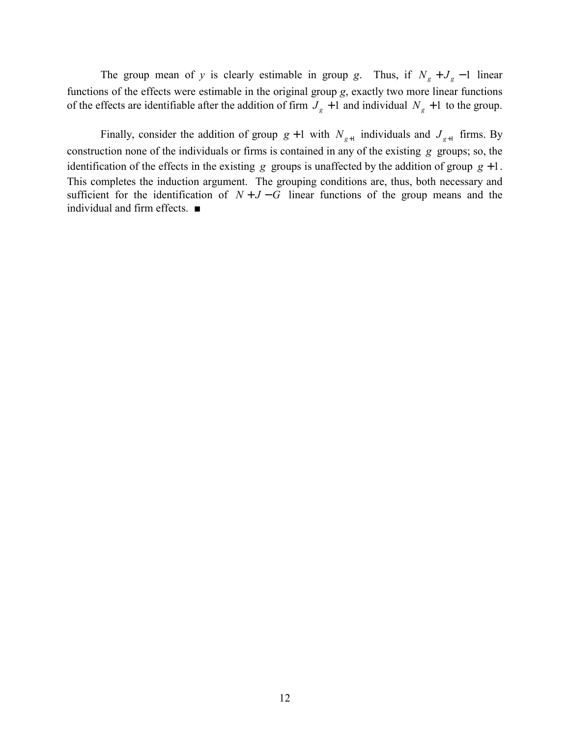The group mean of *y* is clearly estimable in group *g*. Thus, if  $N_g + J_g - 1$  linear functions of the effects were estimable in the original group *g*, exactly two more linear functions of the effects are identifiable after the addition of firm  $J_g + 1$  and individual  $N_g + 1$  to the group.

Finally, consider the addition of group  $g + 1$  with  $N_{g+1}$  individuals and  $J_{g+1}$  firms. By construction none of the individuals or firms is contained in any of the existing *g* groups; so, the identification of the effects in the existing  $g$  groups is unaffected by the addition of group  $g + 1$ . This completes the induction argument. The grouping conditions are, thus, both necessary and sufficient for the identification of  $N + J - G$  linear functions of the group means and the individual and firm effects. ■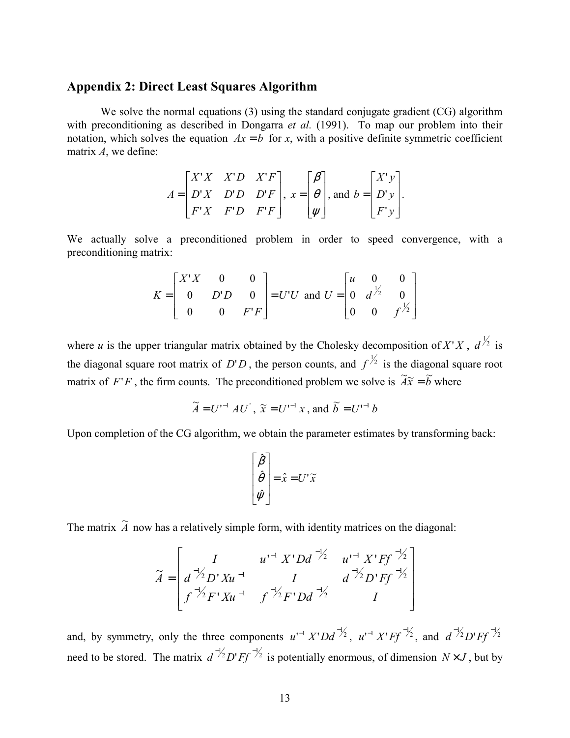# **Appendix 2: Direct Least Squares Algorithm**

We solve the normal equations (3) using the standard conjugate gradient (CG) algorithm with preconditioning as described in Dongarra *et al.* (1991). To map our problem into their notation, which solves the equation  $Ax = b$  for x, with a positive definite symmetric coefficient matrix *A*, we define:

$$
A = \begin{bmatrix} X'X & X'D & X'F \\ D'X & D'D & D'F \\ F'X & F'D & F'F \end{bmatrix}, x = \begin{bmatrix} \beta \\ \theta \\ \psi \end{bmatrix}, \text{ and } b = \begin{bmatrix} X'y \\ D'y \\ F'y \end{bmatrix}.
$$

We actually solve a preconditioned problem in order to speed convergence, with a preconditioning matrix:

$$
K = \begin{bmatrix} X'X & 0 & 0 \\ 0 & D'D & 0 \\ 0 & 0 & F'F \end{bmatrix} = U'U \text{ and } U = \begin{bmatrix} u & 0 & 0 \\ 0 & d^{\frac{1}{2}} & 0 \\ 0 & 0 & f^{\frac{1}{2}} \end{bmatrix}
$$

where *u* is the upper triangular matrix obtained by the Cholesky decomposition of  $X'X$ ,  $d^{\frac{1}{2}}$  is the diagonal square root matrix of  $D'D$ , the person counts, and  $f^{\frac{1}{2}}$  is the diagonal square root matrix of *F*'*F*, the firm counts. The preconditioned problem we solve is  $\widetilde{A}\widetilde{x} = \widetilde{b}$  where

$$
\widetilde{A} = U^{-1} A U^{\dagger}, \ \widetilde{x} = U^{-1} x, \text{ and } \widetilde{b} = U^{-1} b
$$

Upon completion of the CG algorithm, we obtain the parameter estimates by transforming back:

$$
\begin{bmatrix}\n\hat{\beta} \\
\hat{\theta} \\
\hat{\psi}\n\end{bmatrix} = \hat{x} = U^{\dagger}\widetilde{x}
$$

The matrix  $\tilde{A}$  now has a relatively simple form, with identity matrices on the diagonal:

$$
\widetilde{A} = \begin{bmatrix} I & u'^{-1} X'Dd^{-1/2} & u'^{-1} X'Ff^{-1/2} \\ d^{-1/2} D'Xu^{-1} & I & d^{-1/2} D'Ff^{-1/2} \\ f^{-1/2} F'Xu^{-1} & f^{-1/2} F'Dd^{-1/2} & I \end{bmatrix}
$$

and, by symmetry, only the three components  $u^{-1} X'Dd^{-1/2}$ ,  $u^{-1} X' Ff^{-1/2}$ , and  $d^{-1/2} D' Ff^{-1/2}$ need to be stored. The matrix  $d^{-1/2}D'Ff^{-1/2}$  is potentially enormous, of dimension  $N \times J$ , but by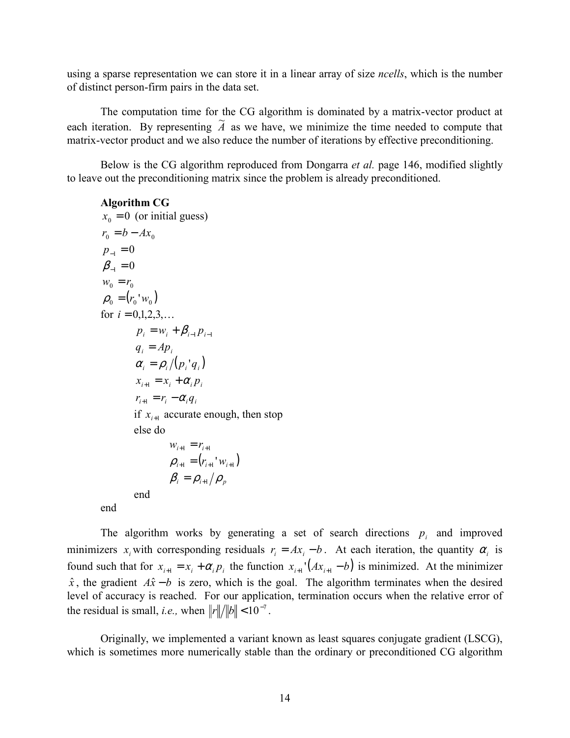using a sparse representation we can store it in a linear array of size *ncells*, which is the number of distinct person-firm pairs in the data set.

The computation time for the CG algorithm is dominated by a matrix-vector product at each iteration. By representing  $\tilde{A}$  as we have, we minimize the time needed to compute that matrix-vector product and we also reduce the number of iterations by effective preconditioning.

Below is the CG algorithm reproduced from Dongarra *et al.* page 146, modified slightly to leave out the preconditioning matrix since the problem is already preconditioned.

#### **Algorithm CG**

```
x_0 = 0 (or initial guess)
r_0 = b - Ax_0p_{-1} = 0\beta_{-1} = 0w_0 = r_0\rho_0 = ( r_0' w_0 )for i = 0.1, 2, 3, \ldotsp_i = w_i + \beta_{i-1} p_{i-1}q_i = Ap_i\alpha_i = \rho_i / (p_i' q_i)x_{i+1} = x_i + \alpha_i p_ir_{i+1} = r_i - \alpha_i q_iif x_{i+1} accurate enough, then stop
           else do 
                      W_{i+1} = r_{i+1}\rho_{i+1} = ( r_{i+1} \cdot w_{i+1} )\beta_i = \rho_{i+1}/\rho_nend 
end
```
The algorithm works by generating a set of search directions  $p_i$  and improved minimizers  $x_i$  with corresponding residuals  $r_i = Ax_i - b$ . At each iteration, the quantity  $\alpha_i$  is found such that for  $x_{i+1} = x_i + \alpha_i p_i$  the function  $x_{i+1} (Ax_{i+1} - b)$  is minimized. At the minimizer  $\hat{x}$ , the gradient  $A\hat{x}$ <sup>*-b*</sup> is zero, which is the goal. The algorithm terminates when the desired level of accuracy is reached. For our application, termination occurs when the relative error of the residual is small, *i.e.*, when  $||r||/||b|| < 10^{-7}$ .

Originally, we implemented a variant known as least squares conjugate gradient (LSCG), which is sometimes more numerically stable than the ordinary or preconditioned CG algorithm